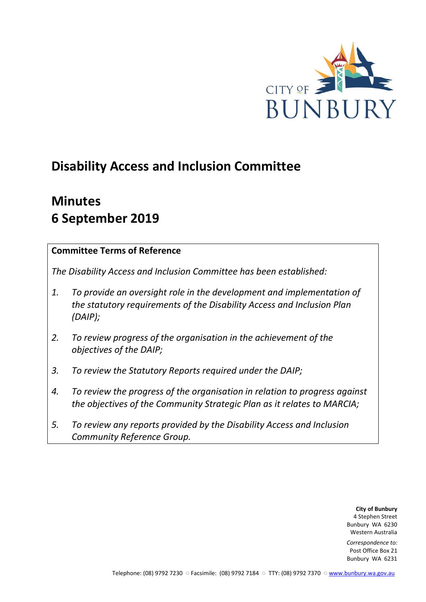

# **Disability Access and Inclusion Committee**

# **Minutes 6 September 2019**

## **Committee Terms of Reference**

*The Disability Access and Inclusion Committee has been established:* 

- *1. To provide an oversight role in the development and implementation of the statutory requirements of the Disability Access and Inclusion Plan (DAIP);*
- *2. To review progress of the organisation in the achievement of the objectives of the DAIP;*
- *3. To review the Statutory Reports required under the DAIP;*
- *4. To review the progress of the organisation in relation to progress against the objectives of the Community Strategic Plan as it relates to MARCIA;*
- *5. To review any reports provided by the Disability Access and Inclusion Community Reference Group.*

**City of Bunbury** 4 Stephen Street Bunbury WA 6230 Western Australia

*Correspondence to:* Post Office Box 21 Bunbury WA 6231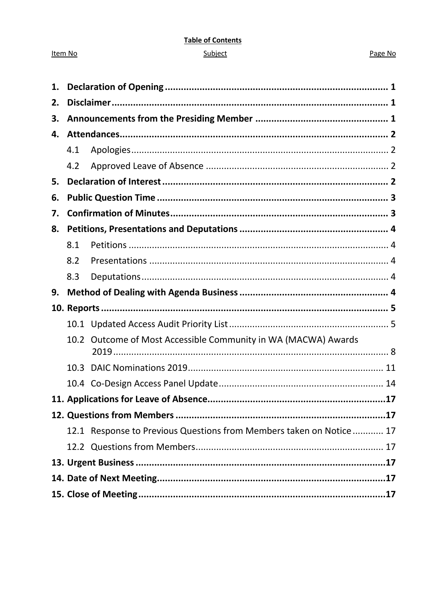#### **Table of Contents**

#### Subject

#### Page No

| 1. |     |                                                                     |  |
|----|-----|---------------------------------------------------------------------|--|
| 2. |     |                                                                     |  |
| 3. |     |                                                                     |  |
| 4. |     |                                                                     |  |
|    | 4.1 |                                                                     |  |
|    | 4.2 |                                                                     |  |
| 5. |     |                                                                     |  |
| 6. |     |                                                                     |  |
| 7. |     |                                                                     |  |
| 8. |     |                                                                     |  |
|    | 8.1 |                                                                     |  |
|    | 8.2 |                                                                     |  |
|    | 8.3 |                                                                     |  |
| 9. |     |                                                                     |  |
|    |     |                                                                     |  |
|    |     |                                                                     |  |
|    |     | 10.2 Outcome of Most Accessible Community in WA (MACWA) Awards      |  |
|    |     |                                                                     |  |
|    |     |                                                                     |  |
|    |     | .17                                                                 |  |
|    |     |                                                                     |  |
|    |     | 12.1 Response to Previous Questions from Members taken on Notice 17 |  |
|    |     |                                                                     |  |
|    |     |                                                                     |  |
|    |     |                                                                     |  |
|    |     |                                                                     |  |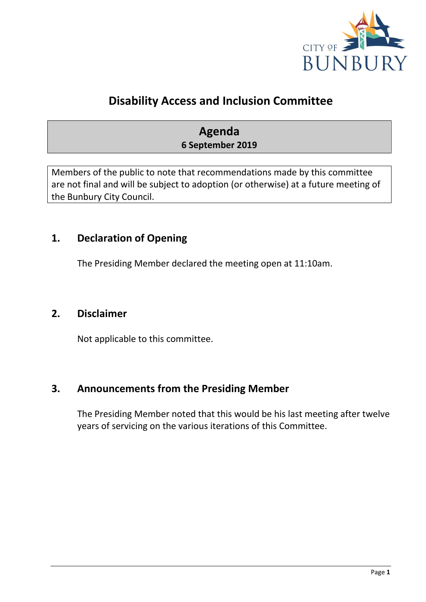

## **Disability Access and Inclusion Committee**

## **Agenda 6 September 2019**

Members of the public to note that recommendations made by this committee are not final and will be subject to adoption (or otherwise) at a future meeting of the Bunbury City Council.

## <span id="page-2-0"></span>**1. Declaration of Opening**

The Presiding Member declared the meeting open at 11:10am.

## <span id="page-2-1"></span>**2. Disclaimer**

Not applicable to this committee.

## <span id="page-2-2"></span>**3. Announcements from the Presiding Member**

The Presiding Member noted that this would be his last meeting after twelve years of servicing on the various iterations of this Committee.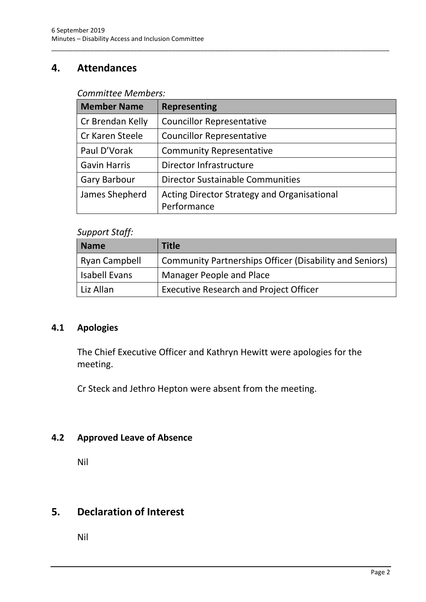## <span id="page-3-0"></span>**4. Attendances**

#### *Committee Members:*

| <b>Member Name</b>  | <b>Representing</b>                         |
|---------------------|---------------------------------------------|
| Cr Brendan Kelly    | <b>Councillor Representative</b>            |
| Cr Karen Steele     | <b>Councillor Representative</b>            |
| Paul D'Vorak        | <b>Community Representative</b>             |
| <b>Gavin Harris</b> | Director Infrastructure                     |
| <b>Gary Barbour</b> | <b>Director Sustainable Communities</b>     |
| James Shepherd      | Acting Director Strategy and Organisational |
|                     | Performance                                 |

\_\_\_\_\_\_\_\_\_\_\_\_\_\_\_\_\_\_\_\_\_\_\_\_\_\_\_\_\_\_\_\_\_\_\_\_\_\_\_\_\_\_\_\_\_\_\_\_\_\_\_\_\_\_\_\_\_\_\_\_\_\_\_\_\_\_\_\_\_\_\_\_\_\_\_\_\_\_\_\_\_\_\_\_\_\_\_\_\_\_\_\_\_\_\_

#### *Support Staff:*

| <b>Name</b>   | <b>Title</b>                                            |
|---------------|---------------------------------------------------------|
| Ryan Campbell | Community Partnerships Officer (Disability and Seniors) |
| Isabell Evans | Manager People and Place                                |
| Liz Allan     | <b>Executive Research and Project Officer</b>           |

## <span id="page-3-1"></span>**4.1 Apologies**

The Chief Executive Officer and Kathryn Hewitt were apologies for the meeting.

Cr Steck and Jethro Hepton were absent from the meeting.

## <span id="page-3-2"></span>**4.2 Approved Leave of Absence**

Nil

## <span id="page-3-3"></span>**5. Declaration of Interest**

Nil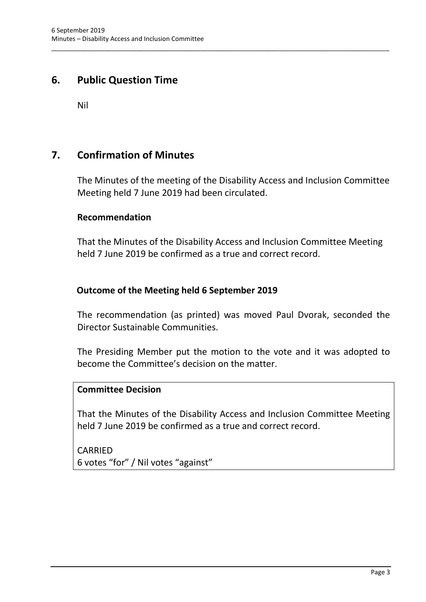## <span id="page-4-0"></span>**6. Public Question Time**

Nil

## <span id="page-4-1"></span>**7. Confirmation of Minutes**

The Minutes of the meeting of the Disability Access and Inclusion Committee Meeting held 7 June 2019 had been circulated.

\_\_\_\_\_\_\_\_\_\_\_\_\_\_\_\_\_\_\_\_\_\_\_\_\_\_\_\_\_\_\_\_\_\_\_\_\_\_\_\_\_\_\_\_\_\_\_\_\_\_\_\_\_\_\_\_\_\_\_\_\_\_\_\_\_\_\_\_\_\_\_\_\_\_\_\_\_\_\_\_\_\_\_\_\_\_\_\_\_\_\_\_\_\_\_

#### **Recommendation**

That the Minutes of the Disability Access and Inclusion Committee Meeting held 7 June 2019 be confirmed as a true and correct record.

## **Outcome of the Meeting held 6 September 2019**

The recommendation (as printed) was moved Paul Dvorak, seconded the Director Sustainable Communities.

The Presiding Member put the motion to the vote and it was adopted to become the Committee's decision on the matter.

### **Committee Decision**

That the Minutes of the Disability Access and Inclusion Committee Meeting held 7 June 2019 be confirmed as a true and correct record.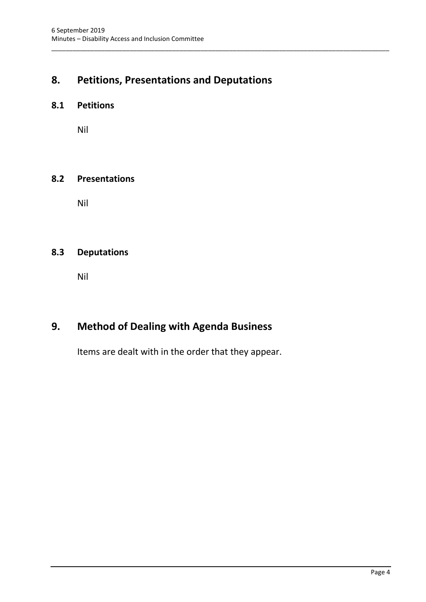## <span id="page-5-0"></span>**8. Petitions, Presentations and Deputations**

\_\_\_\_\_\_\_\_\_\_\_\_\_\_\_\_\_\_\_\_\_\_\_\_\_\_\_\_\_\_\_\_\_\_\_\_\_\_\_\_\_\_\_\_\_\_\_\_\_\_\_\_\_\_\_\_\_\_\_\_\_\_\_\_\_\_\_\_\_\_\_\_\_\_\_\_\_\_\_\_\_\_\_\_\_\_\_\_\_\_\_\_\_\_\_

#### <span id="page-5-1"></span>**8.1 Petitions**

Nil

#### <span id="page-5-2"></span>**8.2 Presentations**

Nil

## <span id="page-5-3"></span>**8.3 Deputations**

Nil

## <span id="page-5-4"></span>**9. Method of Dealing with Agenda Business**

Items are dealt with in the order that they appear.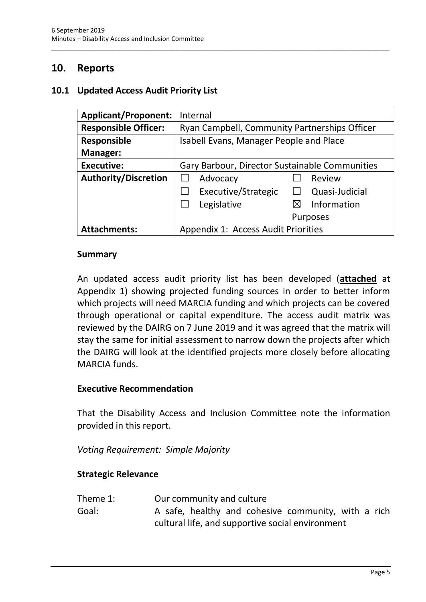## <span id="page-6-0"></span>**10. Reports**

#### <span id="page-6-1"></span>**10.1 Updated Access Audit Priority List**

| <b>Applicant/Proponent:</b> | Internal                                       |
|-----------------------------|------------------------------------------------|
| <b>Responsible Officer:</b> | Ryan Campbell, Community Partnerships Officer  |
| <b>Responsible</b>          | <b>Isabell Evans, Manager People and Place</b> |
| Manager:                    |                                                |
| <b>Executive:</b>           | Gary Barbour, Director Sustainable Communities |
| <b>Authority/Discretion</b> | Advocacy<br>Review                             |
|                             | Executive/Strategic<br>Quasi-Judicial          |
|                             | Legislative<br>Information                     |
|                             | <b>Purposes</b>                                |
| <b>Attachments:</b>         | <b>Appendix 1: Access Audit Priorities</b>     |

\_\_\_\_\_\_\_\_\_\_\_\_\_\_\_\_\_\_\_\_\_\_\_\_\_\_\_\_\_\_\_\_\_\_\_\_\_\_\_\_\_\_\_\_\_\_\_\_\_\_\_\_\_\_\_\_\_\_\_\_\_\_\_\_\_\_\_\_\_\_\_\_\_\_\_\_\_\_\_\_\_\_\_\_\_\_\_\_\_\_\_\_\_\_\_

#### **Summary**

An updated access audit priority list has been developed (**attached** at Appendix 1) showing projected funding sources in order to better inform which projects will need MARCIA funding and which projects can be covered through operational or capital expenditure. The access audit matrix was reviewed by the DAIRG on 7 June 2019 and it was agreed that the matrix will stay the same for initial assessment to narrow down the projects after which the DAIRG will look at the identified projects more closely before allocating MARCIA funds.

#### **Executive Recommendation**

That the Disability Access and Inclusion Committee note the information provided in this report.

*Voting Requirement: Simple Majority*

#### **Strategic Relevance**

| Theme 1: | Our community and culture                           |
|----------|-----------------------------------------------------|
| Goal:    | A safe, healthy and cohesive community, with a rich |
|          | cultural life, and supportive social environment    |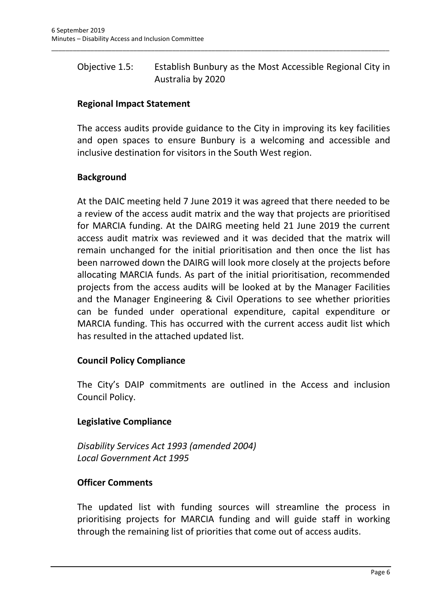## Objective 1.5: Establish Bunbury as the Most Accessible Regional City in Australia by 2020

\_\_\_\_\_\_\_\_\_\_\_\_\_\_\_\_\_\_\_\_\_\_\_\_\_\_\_\_\_\_\_\_\_\_\_\_\_\_\_\_\_\_\_\_\_\_\_\_\_\_\_\_\_\_\_\_\_\_\_\_\_\_\_\_\_\_\_\_\_\_\_\_\_\_\_\_\_\_\_\_\_\_\_\_\_\_\_\_\_\_\_\_\_\_\_

## **Regional Impact Statement**

The access audits provide guidance to the City in improving its key facilities and open spaces to ensure Bunbury is a welcoming and accessible and inclusive destination for visitors in the South West region.

## **Background**

At the DAIC meeting held 7 June 2019 it was agreed that there needed to be a review of the access audit matrix and the way that projects are prioritised for MARCIA funding. At the DAIRG meeting held 21 June 2019 the current access audit matrix was reviewed and it was decided that the matrix will remain unchanged for the initial prioritisation and then once the list has been narrowed down the DAIRG will look more closely at the projects before allocating MARCIA funds. As part of the initial prioritisation, recommended projects from the access audits will be looked at by the Manager Facilities and the Manager Engineering & Civil Operations to see whether priorities can be funded under operational expenditure, capital expenditure or MARCIA funding. This has occurred with the current access audit list which has resulted in the attached updated list.

#### **Council Policy Compliance**

The City's DAIP commitments are outlined in the Access and inclusion Council Policy.

## **Legislative Compliance**

*Disability Services Act 1993 (amended 2004) Local Government Act 1995*

#### **Officer Comments**

The updated list with funding sources will streamline the process in prioritising projects for MARCIA funding and will guide staff in working through the remaining list of priorities that come out of access audits.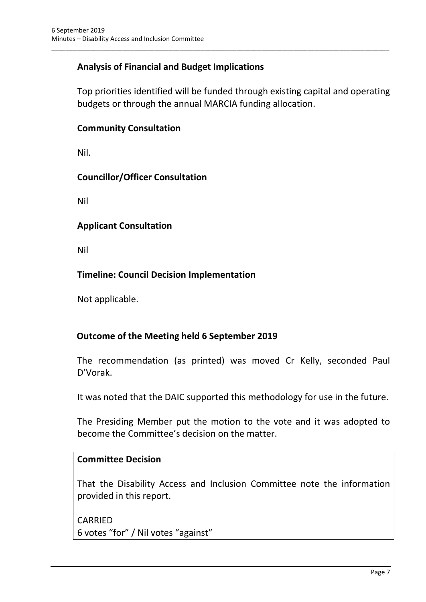## **Analysis of Financial and Budget Implications**

Top priorities identified will be funded through existing capital and operating budgets or through the annual MARCIA funding allocation.

\_\_\_\_\_\_\_\_\_\_\_\_\_\_\_\_\_\_\_\_\_\_\_\_\_\_\_\_\_\_\_\_\_\_\_\_\_\_\_\_\_\_\_\_\_\_\_\_\_\_\_\_\_\_\_\_\_\_\_\_\_\_\_\_\_\_\_\_\_\_\_\_\_\_\_\_\_\_\_\_\_\_\_\_\_\_\_\_\_\_\_\_\_\_\_

#### **Community Consultation**

Nil.

#### **Councillor/Officer Consultation**

Nil

#### **Applicant Consultation**

Nil

## **Timeline: Council Decision Implementation**

Not applicable.

#### **Outcome of the Meeting held 6 September 2019**

The recommendation (as printed) was moved Cr Kelly, seconded Paul D'Vorak.

It was noted that the DAIC supported this methodology for use in the future.

The Presiding Member put the motion to the vote and it was adopted to become the Committee's decision on the matter.

#### **Committee Decision**

That the Disability Access and Inclusion Committee note the information provided in this report.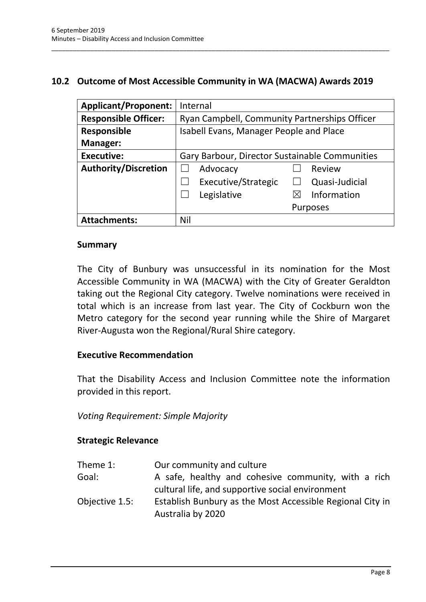### <span id="page-9-0"></span>**10.2 Outcome of Most Accessible Community in WA (MACWA) Awards 2019**

\_\_\_\_\_\_\_\_\_\_\_\_\_\_\_\_\_\_\_\_\_\_\_\_\_\_\_\_\_\_\_\_\_\_\_\_\_\_\_\_\_\_\_\_\_\_\_\_\_\_\_\_\_\_\_\_\_\_\_\_\_\_\_\_\_\_\_\_\_\_\_\_\_\_\_\_\_\_\_\_\_\_\_\_\_\_\_\_\_\_\_\_\_\_\_

| <b>Applicant/Proponent:</b> | Internal                                       |
|-----------------------------|------------------------------------------------|
| <b>Responsible Officer:</b> | Ryan Campbell, Community Partnerships Officer  |
| <b>Responsible</b>          | Isabell Evans, Manager People and Place        |
| <b>Manager:</b>             |                                                |
| <b>Executive:</b>           | Gary Barbour, Director Sustainable Communities |
| <b>Authority/Discretion</b> | Review<br>Advocacy                             |
|                             | Executive/Strategic<br>Quasi-Judicial          |
|                             | Information<br>Legislative                     |
|                             | <b>Purposes</b>                                |
| <b>Attachments:</b>         | Nil                                            |

#### **Summary**

The City of Bunbury was unsuccessful in its nomination for the Most Accessible Community in WA (MACWA) with the City of Greater Geraldton taking out the Regional City category. Twelve nominations were received in total which is an increase from last year. The City of Cockburn won the Metro category for the second year running while the Shire of Margaret River-Augusta won the Regional/Rural Shire category.

#### **Executive Recommendation**

That the Disability Access and Inclusion Committee note the information provided in this report.

*Voting Requirement: Simple Majority*

#### **Strategic Relevance**

| Theme 1:       | Our community and culture                                 |
|----------------|-----------------------------------------------------------|
| Goal:          | A safe, healthy and cohesive community, with a rich       |
|                | cultural life, and supportive social environment          |
| Objective 1.5: | Establish Bunbury as the Most Accessible Regional City in |
|                | Australia by 2020                                         |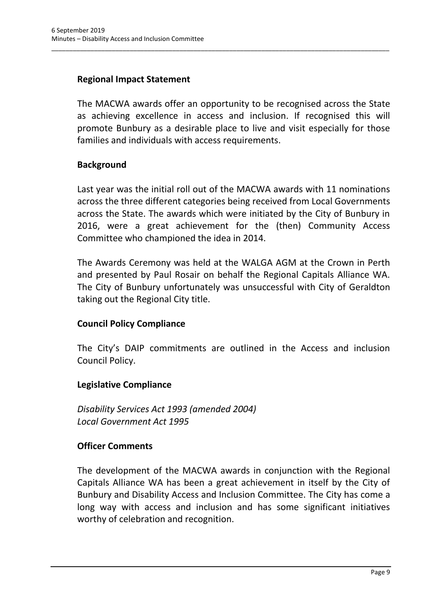## **Regional Impact Statement**

The MACWA awards offer an opportunity to be recognised across the State as achieving excellence in access and inclusion. If recognised this will promote Bunbury as a desirable place to live and visit especially for those families and individuals with access requirements.

\_\_\_\_\_\_\_\_\_\_\_\_\_\_\_\_\_\_\_\_\_\_\_\_\_\_\_\_\_\_\_\_\_\_\_\_\_\_\_\_\_\_\_\_\_\_\_\_\_\_\_\_\_\_\_\_\_\_\_\_\_\_\_\_\_\_\_\_\_\_\_\_\_\_\_\_\_\_\_\_\_\_\_\_\_\_\_\_\_\_\_\_\_\_\_

#### **Background**

Last year was the initial roll out of the MACWA awards with 11 nominations across the three different categories being received from Local Governments across the State. The awards which were initiated by the City of Bunbury in 2016, were a great achievement for the (then) Community Access Committee who championed the idea in 2014.

The Awards Ceremony was held at the WALGA AGM at the Crown in Perth and presented by Paul Rosair on behalf the Regional Capitals Alliance WA. The City of Bunbury unfortunately was unsuccessful with City of Geraldton taking out the Regional City title.

#### **Council Policy Compliance**

The City's DAIP commitments are outlined in the Access and inclusion Council Policy.

#### **Legislative Compliance**

*Disability Services Act 1993 (amended 2004) Local Government Act 1995*

#### **Officer Comments**

The development of the MACWA awards in conjunction with the Regional Capitals Alliance WA has been a great achievement in itself by the City of Bunbury and Disability Access and Inclusion Committee. The City has come a long way with access and inclusion and has some significant initiatives worthy of celebration and recognition.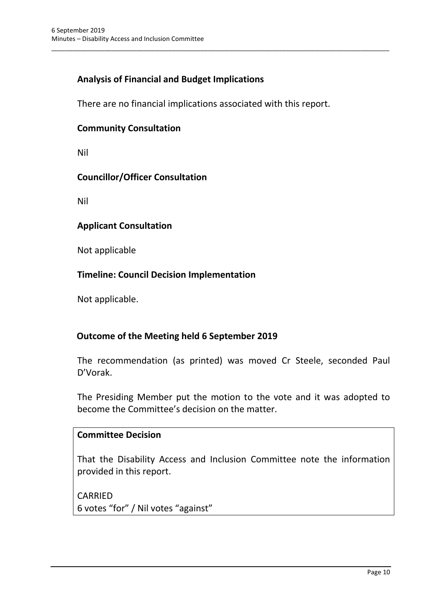## **Analysis of Financial and Budget Implications**

There are no financial implications associated with this report.

\_\_\_\_\_\_\_\_\_\_\_\_\_\_\_\_\_\_\_\_\_\_\_\_\_\_\_\_\_\_\_\_\_\_\_\_\_\_\_\_\_\_\_\_\_\_\_\_\_\_\_\_\_\_\_\_\_\_\_\_\_\_\_\_\_\_\_\_\_\_\_\_\_\_\_\_\_\_\_\_\_\_\_\_\_\_\_\_\_\_\_\_\_\_\_

#### **Community Consultation**

Nil

#### **Councillor/Officer Consultation**

Nil

#### **Applicant Consultation**

Not applicable

#### **Timeline: Council Decision Implementation**

Not applicable.

#### **Outcome of the Meeting held 6 September 2019**

The recommendation (as printed) was moved Cr Steele, seconded Paul D'Vorak.

The Presiding Member put the motion to the vote and it was adopted to become the Committee's decision on the matter.

#### **Committee Decision**

That the Disability Access and Inclusion Committee note the information provided in this report.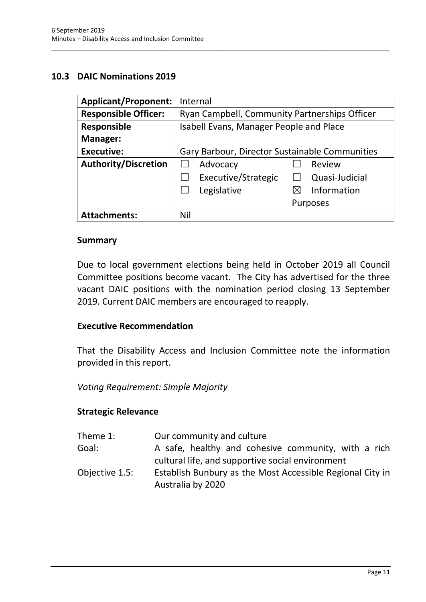#### <span id="page-12-0"></span>**10.3 DAIC Nominations 2019**

| <b>Applicant/Proponent:</b> | Internal                                       |
|-----------------------------|------------------------------------------------|
| <b>Responsible Officer:</b> | Ryan Campbell, Community Partnerships Officer  |
| <b>Responsible</b>          | Isabell Evans, Manager People and Place        |
| Manager:                    |                                                |
| <b>Executive:</b>           | Gary Barbour, Director Sustainable Communities |
| <b>Authority/Discretion</b> | Advocacy<br>Review                             |
|                             | Executive/Strategic<br>Quasi-Judicial          |
|                             | Information<br>Legislative<br>⋉                |
|                             | <b>Purposes</b>                                |
| <b>Attachments:</b>         | Nil                                            |

\_\_\_\_\_\_\_\_\_\_\_\_\_\_\_\_\_\_\_\_\_\_\_\_\_\_\_\_\_\_\_\_\_\_\_\_\_\_\_\_\_\_\_\_\_\_\_\_\_\_\_\_\_\_\_\_\_\_\_\_\_\_\_\_\_\_\_\_\_\_\_\_\_\_\_\_\_\_\_\_\_\_\_\_\_\_\_\_\_\_\_\_\_\_\_

#### **Summary**

Due to local government elections being held in October 2019 all Council Committee positions become vacant. The City has advertised for the three vacant DAIC positions with the nomination period closing 13 September 2019. Current DAIC members are encouraged to reapply.

#### **Executive Recommendation**

That the Disability Access and Inclusion Committee note the information provided in this report.

#### *Voting Requirement: Simple Majority*

#### **Strategic Relevance**

| Our community and culture                                                      |
|--------------------------------------------------------------------------------|
| A safe, healthy and cohesive community, with a rich                            |
| cultural life, and supportive social environment                               |
| Establish Bunbury as the Most Accessible Regional City in<br>Australia by 2020 |
|                                                                                |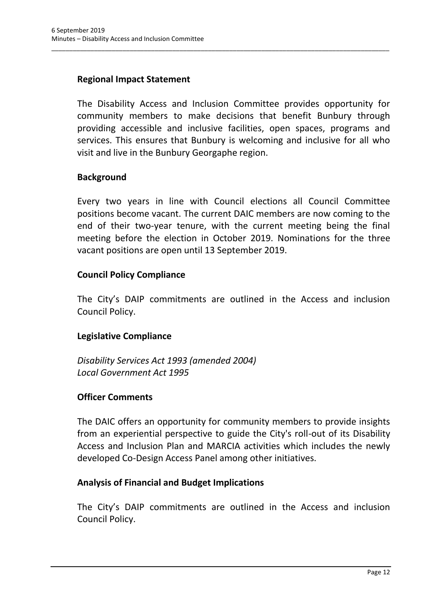## **Regional Impact Statement**

The Disability Access and Inclusion Committee provides opportunity for community members to make decisions that benefit Bunbury through providing accessible and inclusive facilities, open spaces, programs and services. This ensures that Bunbury is welcoming and inclusive for all who visit and live in the Bunbury Georgaphe region.

\_\_\_\_\_\_\_\_\_\_\_\_\_\_\_\_\_\_\_\_\_\_\_\_\_\_\_\_\_\_\_\_\_\_\_\_\_\_\_\_\_\_\_\_\_\_\_\_\_\_\_\_\_\_\_\_\_\_\_\_\_\_\_\_\_\_\_\_\_\_\_\_\_\_\_\_\_\_\_\_\_\_\_\_\_\_\_\_\_\_\_\_\_\_\_

#### **Background**

Every two years in line with Council elections all Council Committee positions become vacant. The current DAIC members are now coming to the end of their two-year tenure, with the current meeting being the final meeting before the election in October 2019. Nominations for the three vacant positions are open until 13 September 2019.

#### **Council Policy Compliance**

The City's DAIP commitments are outlined in the Access and inclusion Council Policy.

#### **Legislative Compliance**

*Disability Services Act 1993 (amended 2004) Local Government Act 1995*

#### **Officer Comments**

The DAIC offers an opportunity for community members to provide insights from an experiential perspective to guide the City's roll-out of its Disability Access and Inclusion Plan and MARCIA activities which includes the newly developed Co-Design Access Panel among other initiatives.

#### **Analysis of Financial and Budget Implications**

The City's DAIP commitments are outlined in the Access and inclusion Council Policy.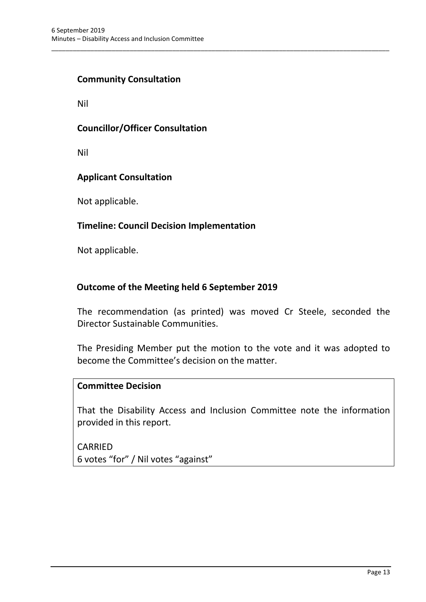### **Community Consultation**

Nil

#### **Councillor/Officer Consultation**

Nil

#### **Applicant Consultation**

Not applicable.

#### **Timeline: Council Decision Implementation**

Not applicable.

#### **Outcome of the Meeting held 6 September 2019**

The recommendation (as printed) was moved Cr Steele, seconded the Director Sustainable Communities.

\_\_\_\_\_\_\_\_\_\_\_\_\_\_\_\_\_\_\_\_\_\_\_\_\_\_\_\_\_\_\_\_\_\_\_\_\_\_\_\_\_\_\_\_\_\_\_\_\_\_\_\_\_\_\_\_\_\_\_\_\_\_\_\_\_\_\_\_\_\_\_\_\_\_\_\_\_\_\_\_\_\_\_\_\_\_\_\_\_\_\_\_\_\_\_

The Presiding Member put the motion to the vote and it was adopted to become the Committee's decision on the matter.

#### **Committee Decision**

That the Disability Access and Inclusion Committee note the information provided in this report.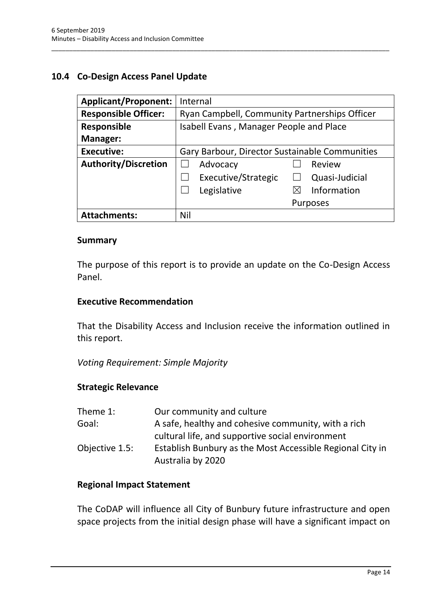## <span id="page-15-0"></span>**10.4 Co-Design Access Panel Update**

| <b>Applicant/Proponent:</b> | Internal                                       |
|-----------------------------|------------------------------------------------|
| <b>Responsible Officer:</b> | Ryan Campbell, Community Partnerships Officer  |
| <b>Responsible</b>          | Isabell Evans, Manager People and Place        |
| Manager:                    |                                                |
| <b>Executive:</b>           | Gary Barbour, Director Sustainable Communities |
| <b>Authority/Discretion</b> | Advocacy<br>Review                             |
|                             | Executive/Strategic<br>Quasi-Judicial          |
|                             | Information<br>Legislative<br>⋉                |
|                             | <b>Purposes</b>                                |
| <b>Attachments:</b>         | Nil                                            |

\_\_\_\_\_\_\_\_\_\_\_\_\_\_\_\_\_\_\_\_\_\_\_\_\_\_\_\_\_\_\_\_\_\_\_\_\_\_\_\_\_\_\_\_\_\_\_\_\_\_\_\_\_\_\_\_\_\_\_\_\_\_\_\_\_\_\_\_\_\_\_\_\_\_\_\_\_\_\_\_\_\_\_\_\_\_\_\_\_\_\_\_\_\_\_

#### **Summary**

The purpose of this report is to provide an update on the Co-Design Access Panel.

#### **Executive Recommendation**

That the Disability Access and Inclusion receive the information outlined in this report.

*Voting Requirement: Simple Majority*

#### **Strategic Relevance**

| Theme 1:       | Our community and culture                                 |
|----------------|-----------------------------------------------------------|
| Goal:          | A safe, healthy and cohesive community, with a rich       |
|                | cultural life, and supportive social environment          |
| Objective 1.5: | Establish Bunbury as the Most Accessible Regional City in |
|                | Australia by 2020                                         |

#### **Regional Impact Statement**

The CoDAP will influence all City of Bunbury future infrastructure and open space projects from the initial design phase will have a significant impact on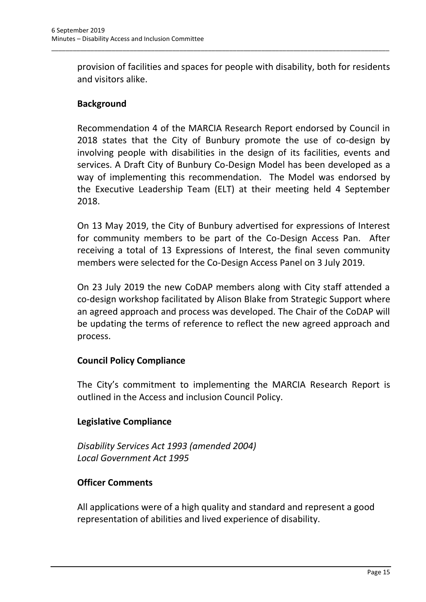provision of facilities and spaces for people with disability, both for residents and visitors alike.

\_\_\_\_\_\_\_\_\_\_\_\_\_\_\_\_\_\_\_\_\_\_\_\_\_\_\_\_\_\_\_\_\_\_\_\_\_\_\_\_\_\_\_\_\_\_\_\_\_\_\_\_\_\_\_\_\_\_\_\_\_\_\_\_\_\_\_\_\_\_\_\_\_\_\_\_\_\_\_\_\_\_\_\_\_\_\_\_\_\_\_\_\_\_\_

## **Background**

Recommendation 4 of the MARCIA Research Report endorsed by Council in 2018 states that the City of Bunbury promote the use of co-design by involving people with disabilities in the design of its facilities, events and services. A Draft City of Bunbury Co-Design Model has been developed as a way of implementing this recommendation. The Model was endorsed by the Executive Leadership Team (ELT) at their meeting held 4 September 2018.

On 13 May 2019, the City of Bunbury advertised for expressions of Interest for community members to be part of the Co-Design Access Pan. After receiving a total of 13 Expressions of Interest, the final seven community members were selected for the Co-Design Access Panel on 3 July 2019.

On 23 July 2019 the new CoDAP members along with City staff attended a co-design workshop facilitated by Alison Blake from Strategic Support where an agreed approach and process was developed. The Chair of the CoDAP will be updating the terms of reference to reflect the new agreed approach and process.

## **Council Policy Compliance**

The City's commitment to implementing the MARCIA Research Report is outlined in the Access and inclusion Council Policy.

## **Legislative Compliance**

*Disability Services Act 1993 (amended 2004) Local Government Act 1995*

#### **Officer Comments**

All applications were of a high quality and standard and represent a good representation of abilities and lived experience of disability.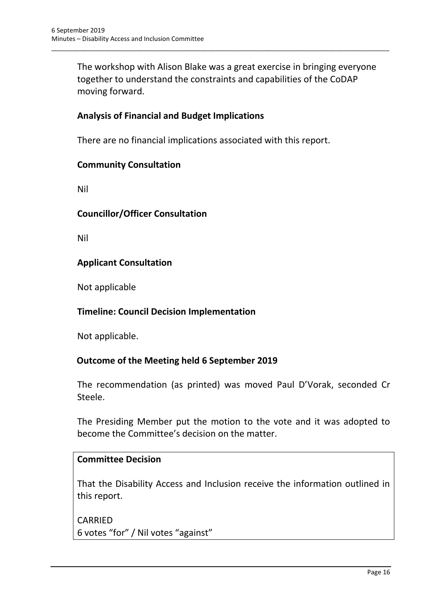The workshop with Alison Blake was a great exercise in bringing everyone together to understand the constraints and capabilities of the CoDAP moving forward.

\_\_\_\_\_\_\_\_\_\_\_\_\_\_\_\_\_\_\_\_\_\_\_\_\_\_\_\_\_\_\_\_\_\_\_\_\_\_\_\_\_\_\_\_\_\_\_\_\_\_\_\_\_\_\_\_\_\_\_\_\_\_\_\_\_\_\_\_\_\_\_\_\_\_\_\_\_\_\_\_\_\_\_\_\_\_\_\_\_\_\_\_\_\_\_

### **Analysis of Financial and Budget Implications**

There are no financial implications associated with this report.

#### **Community Consultation**

Nil

#### **Councillor/Officer Consultation**

Nil

#### **Applicant Consultation**

Not applicable

#### **Timeline: Council Decision Implementation**

Not applicable.

#### **Outcome of the Meeting held 6 September 2019**

The recommendation (as printed) was moved Paul D'Vorak, seconded Cr Steele.

The Presiding Member put the motion to the vote and it was adopted to become the Committee's decision on the matter.

#### **Committee Decision**

That the Disability Access and Inclusion receive the information outlined in this report.